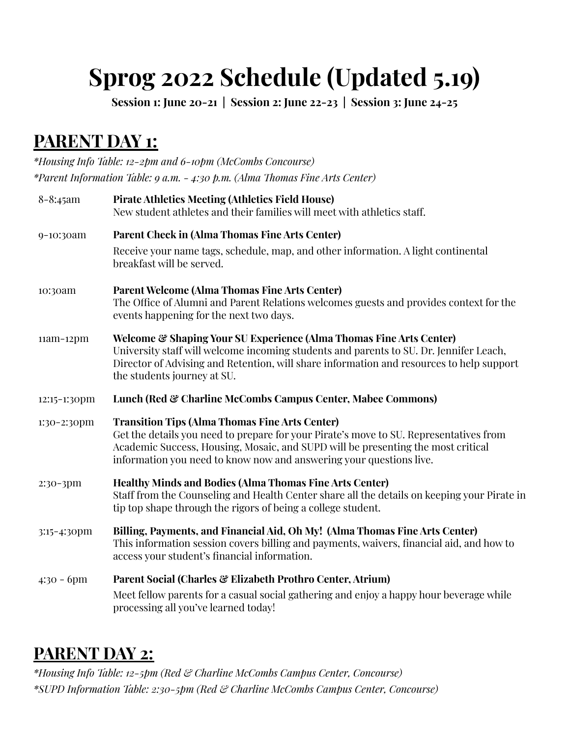## **Sprog 2022 Schedule (Updated 5.19)**

**Session 1: June 20-21 | Session 2: June 22-23 | Session 3: June 24-25**

## **PARENT DAY 1:**

*\*Housing Info Table: 12-2pm and 6-10pm (McCombs Concourse) \*Parent Information Table: 9 a.m. - 4:30 p.m. (Alma Thomas Fine Arts Center)*

| $8 - 8:45$ am | <b>Pirate Athletics Meeting (Athletics Field House)</b><br>New student athletes and their families will meet with athletics staff.                                                                                                                                                                         |
|---------------|------------------------------------------------------------------------------------------------------------------------------------------------------------------------------------------------------------------------------------------------------------------------------------------------------------|
| 9-10:30am     | <b>Parent Check in (Alma Thomas Fine Arts Center)</b><br>Receive your name tags, schedule, map, and other information. A light continental<br>breakfast will be served.                                                                                                                                    |
| 10:30am       | <b>Parent Welcome (Alma Thomas Fine Arts Center)</b><br>The Office of Alumni and Parent Relations welcomes guests and provides context for the<br>events happening for the next two days.                                                                                                                  |
| $11am-12pm$   | <b>Welcome &amp; Shaping Your SU Experience (Alma Thomas Fine Arts Center)</b><br>University staff will welcome incoming students and parents to SU. Dr. Jennifer Leach,<br>Director of Advising and Retention, will share information and resources to help support<br>the students journey at SU.        |
| 12:15-1:30pm  | Lunch (Red & Charline McCombs Campus Center, Mabee Commons)                                                                                                                                                                                                                                                |
| 1:30-2:30pm   | <b>Transition Tips (Alma Thomas Fine Arts Center)</b><br>Get the details you need to prepare for your Pirate's move to SU. Representatives from<br>Academic Success, Housing, Mosaic, and SUPD will be presenting the most critical<br>information you need to know now and answering your questions live. |
| $2:30-3$ pm   | <b>Healthy Minds and Bodies (Alma Thomas Fine Arts Center)</b><br>Staff from the Counseling and Health Center share all the details on keeping your Pirate in<br>tip top shape through the rigors of being a college student.                                                                              |
| 3:15-4:30pm   | Billing, Payments, and Financial Aid, Oh My! (Alma Thomas Fine Arts Center)<br>This information session covers billing and payments, waivers, financial aid, and how to<br>access your student's financial information.                                                                                    |
| $4:30 - 6$ pm | Parent Social (Charles & Elizabeth Prothro Center, Atrium)                                                                                                                                                                                                                                                 |
|               | Meet fellow parents for a casual social gathering and enjoy a happy hour beverage while<br>processing all you've learned today!                                                                                                                                                                            |

## **PARENT DAY 2:**

*\*Housing Info Table: 12-5pm (Red & Charline McCombs Campus Center, Concourse) \*SUPD Information Table: 2:30-5pm (Red & Charline McCombs Campus Center, Concourse)*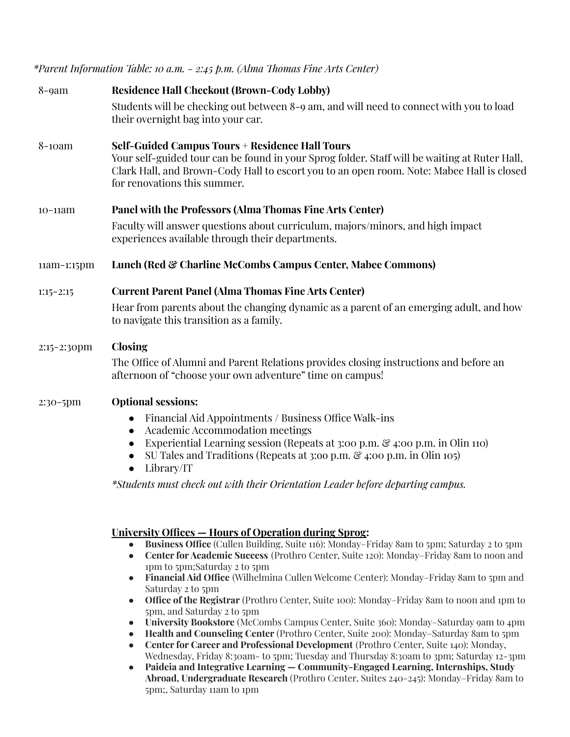*\*Parent Information Table: 10 a.m. - 2:45 p.m. (Alma Thomas Fine Arts Center)*

| <b>Residence Hall Checkout (Brown-Cody Lobby)</b><br>Students will be checking out between 8-9 am, and will need to connect with you to load<br>their overnight bag into your car.                                                                                                                                                                                                                      |
|---------------------------------------------------------------------------------------------------------------------------------------------------------------------------------------------------------------------------------------------------------------------------------------------------------------------------------------------------------------------------------------------------------|
|                                                                                                                                                                                                                                                                                                                                                                                                         |
| <b>Self-Guided Campus Tours + Residence Hall Tours</b><br>Your self-guided tour can be found in your Sprog folder. Staff will be waiting at Ruter Hall,<br>Clark Hall, and Brown-Cody Hall to escort you to an open room. Note: Mabee Hall is closed<br>for renovations this summer.                                                                                                                    |
| Panel with the Professors (Alma Thomas Fine Arts Center)                                                                                                                                                                                                                                                                                                                                                |
| Faculty will answer questions about curriculum, majors/minors, and high impact<br>experiences available through their departments.                                                                                                                                                                                                                                                                      |
| Lunch (Red & Charline McCombs Campus Center, Mabee Commons)                                                                                                                                                                                                                                                                                                                                             |
| <b>Current Parent Panel (Alma Thomas Fine Arts Center)</b>                                                                                                                                                                                                                                                                                                                                              |
| Hear from parents about the changing dynamic as a parent of an emerging adult, and how<br>to navigate this transition as a family.                                                                                                                                                                                                                                                                      |
| <b>Closing</b>                                                                                                                                                                                                                                                                                                                                                                                          |
| The Office of Alumni and Parent Relations provides closing instructions and before an<br>afternoon of "choose your own adventure" time on campus!                                                                                                                                                                                                                                                       |
| <b>Optional sessions:</b>                                                                                                                                                                                                                                                                                                                                                                               |
| Financial Aid Appointments / Business Office Walk-ins<br>$\bullet$<br>Academic Accommodation meetings<br>$\bullet$<br>Experiential Learning session (Repeats at 3:00 p.m. & 4:00 p.m. in Olin 110)<br>SU Tales and Traditions (Repeats at 3:00 p.m. $\mathcal{C}_4$ :00 p.m. in Olin 105)<br>Library/IT<br>$\bullet$<br>*Students must check out with their Orientation Leader before departing campus. |
|                                                                                                                                                                                                                                                                                                                                                                                                         |

## **University Offices — Hours of Operation during Sprog:**

- **Business Office** (Cullen Building, Suite 116): Monday–Friday 8am to 5pm; Saturday 2 to 5pm
- **Center for Academic Success** (Prothro Center, Suite 120): Monday–Friday 8am to noon and 1pm to 5pm;Saturday 2 to 5pm
- **Financial Aid Office** (Wilhelmina Cullen Welcome Center): Monday–Friday 8am to 5pm and Saturday 2 to 5pm
- **Office of the Registrar** (Prothro Center, Suite 100): Monday–Friday 8am to noon and 1pm to 5pm, and Saturday 2 to 5pm
- **University Bookstore** (McCombs Campus Center, Suite 360): Monday–Saturday 9am to 4pm
- **Health and Counseling Center** (Prothro Center, Suite 200): Monday–Saturday 8am to 5pm
- **Center for Career and Professional Development** (Prothro Center, Suite 140): Monday, Wednesday, Friday 8:30am- to 5pm; Tuesday and Thursday 8:30am to 3pm; Saturday 12-3pm
- **Paideia and Integrative Learning — Community-Engaged Learning, Internships, Study Abroad, Undergraduate Research** (Prothro Center, Suites 240-245): Monday–Friday 8am to 5pm;, Saturday 11am to 1pm